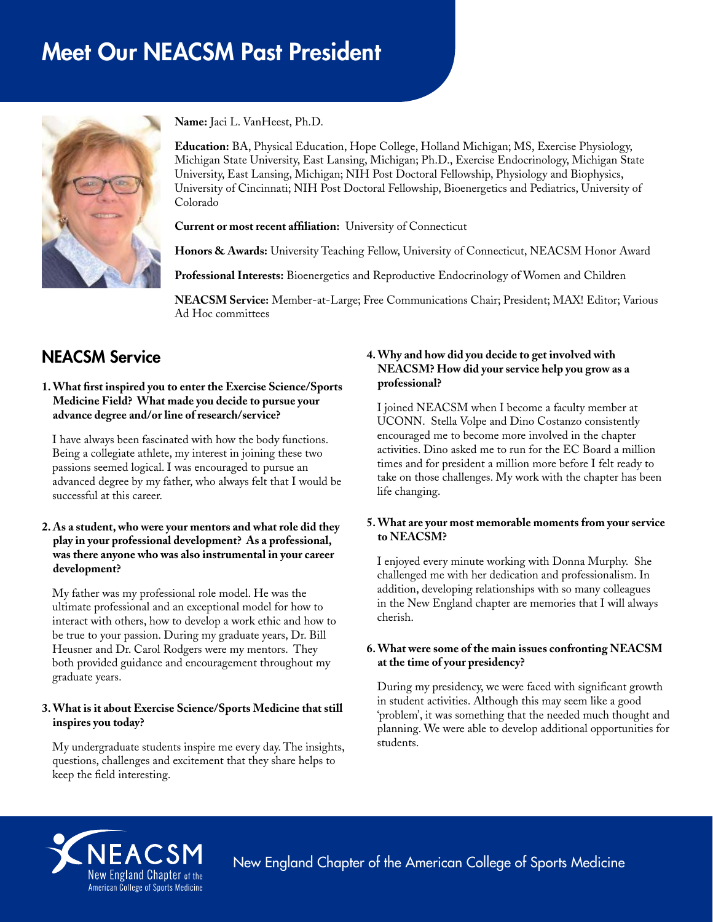# Meet Our NEACSM Past President



**Name:** Jaci L. VanHeest, Ph.D.

**Education:** BA, Physical Education, Hope College, Holland Michigan; MS, Exercise Physiology, Michigan State University, East Lansing, Michigan; Ph.D., Exercise Endocrinology, Michigan State University, East Lansing, Michigan; NIH Post Doctoral Fellowship, Physiology and Biophysics, University of Cincinnati; NIH Post Doctoral Fellowship, Bioenergetics and Pediatrics, University of Colorado

**Current or most recent affiliation:** University of Connecticut

**Honors & Awards:** University Teaching Fellow, University of Connecticut, NEACSM Honor Award

**Professional Interests:** Bioenergetics and Reproductive Endocrinology of Women and Children

**NEACSM Service:** Member-at-Large; Free Communications Chair; President; MAX! Editor; Various Ad Hoc committees

# NEACSM Service

#### **1. What first inspired you to enter the Exercise Science/Sports Medicine Field? What made you decide to pursue your advance degree and/or line of research/service?**

I have always been fascinated with how the body functions. Being a collegiate athlete, my interest in joining these two passions seemed logical. I was encouraged to pursue an advanced degree by my father, who always felt that I would be successful at this career.

#### **2. As a student, who were your mentors and what role did they play in your professional development? As a professional, was there anyone who was also instrumental in your career development?**

My father was my professional role model. He was the ultimate professional and an exceptional model for how to interact with others, how to develop a work ethic and how to be true to your passion. During my graduate years, Dr. Bill Heusner and Dr. Carol Rodgers were my mentors. They both provided guidance and encouragement throughout my graduate years.

## **3. What is it about Exercise Science/Sports Medicine that still inspires you today?**

My undergraduate students inspire me every day. The insights, questions, challenges and excitement that they share helps to keep the field interesting.

### **4. Why and how did you decide to get involved with NEACSM? How did your service help you grow as a professional?**

I joined NEACSM when I become a faculty member at UCONN. Stella Volpe and Dino Costanzo consistently encouraged me to become more involved in the chapter activities. Dino asked me to run for the EC Board a million times and for president a million more before I felt ready to take on those challenges. My work with the chapter has been life changing.

#### **5. What are your most memorable moments from your service to NEACSM?**

I enjoyed every minute working with Donna Murphy. She challenged me with her dedication and professionalism. In addition, developing relationships with so many colleagues in the New England chapter are memories that I will always cherish.

#### **6. What were some of the main issues confronting NEACSM at the time of your presidency?**

During my presidency, we were faced with significant growth in student activities. Although this may seem like a good 'problem', it was something that the needed much thought and planning. We were able to develop additional opportunities for students.



New England Chapter of the American College of Sports Medicine